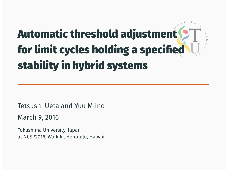# Automatic threshold adjustment for limit cycles holding a specified stability in hybrid systems

Tetsushi Ueta and Yuu Miino

March 9, 2016

Tokushima University, Japan at NCSP2016, Waikiki, Honolulu, Hawaii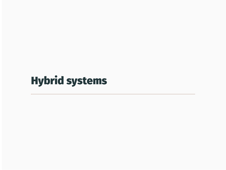# Hybrid systems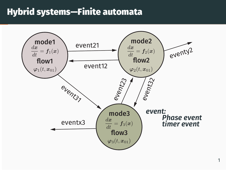### Hybrid systems—Finite automata

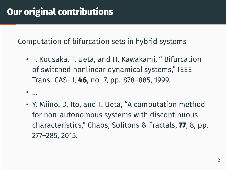Computation of bifurcation sets in hybrid systems

• T. Kousaka, T. Ueta, and H. Kawakami, " Bifurcation of switched nonlinear dynamical systems," IEEE Trans. CAS-II, 46, no. 7, pp. 878–885, 1999.

• ...

• Y. Miino, D. Ito, and T. Ueta, "A computation method for non-autonomous systems with discontinuous characteristics," Chaos, Solitons & Fractals, 77, 8, pp. 277–285, 2015.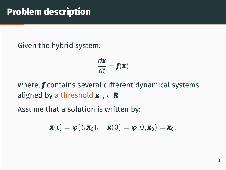Given the hybrid system:

$$
\frac{d\mathbf{x}}{dt} = \mathbf{f}(\mathbf{x})
$$

where, *f* contains several different dynamical systems aligned by a threshold  $\mathbf{x}_{\text{th}} \in \mathbf{R}$ 

Assume that a solution is written by:

$$
\boldsymbol{x}(t)=\boldsymbol{\phi}(t,\boldsymbol{x}_0),\quad \boldsymbol{x}(0)=\boldsymbol{\phi}(0,\boldsymbol{x}_0)=\boldsymbol{x}_0.
$$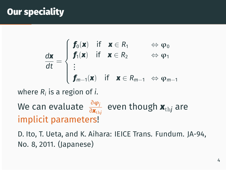### **Our speciality**

$$
\frac{d\boldsymbol{x}}{dt} = \begin{cases} \boldsymbol{f}_0(\boldsymbol{x}) & \text{if } \boldsymbol{x} \in R_1 \\ \boldsymbol{f}_1(\boldsymbol{x}) & \text{if } \boldsymbol{x} \in R_2 \\ \vdots \\ \boldsymbol{f}_{m-1}(\boldsymbol{x}) & \text{if } \boldsymbol{x} \in R_{m-1} \Leftrightarrow \phi_{m-1} \end{cases}
$$

where *R<sup>i</sup>* is a region of *i*.

# We can evaluate <sup>∂</sup>φ*<sup>j</sup>* ∂*x*th*<sup>j</sup>* even though *x*th*<sup>j</sup>* are implicit parameters!

D. Ito, T. Ueta, and K. Aihara: IEICE Trans. Fundum. JA-94, No. 8, 2011. (Japanese)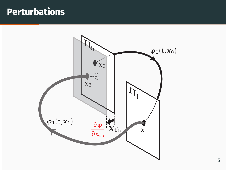### **Perturbations**

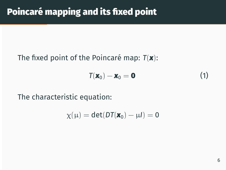#### The fixed point of the Poincaré map: *T*(*x*):

$$
T(\mathbf{x}_0) - \mathbf{x}_0 = \mathbf{0} \tag{1}
$$

The characteristic equation:

$$
\chi(\mu)=\text{det}(D\text{T}(\bm{x}_0)-\mu I)=0
$$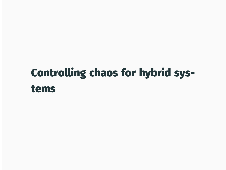# Controlling chaos for hybrid systems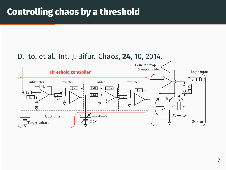#### D. Ito, et al. Int. J. Bifur. Chaos, 24, 10, 2014.

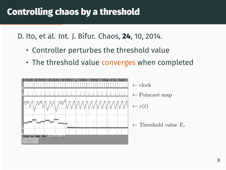### Controlling chaos by a threshold

D. Ito, et al. Int. J. Bifur. Chaos, 24, 10, 2014.

- Controller perturbes the threshold value
- The threshold value converges when completed

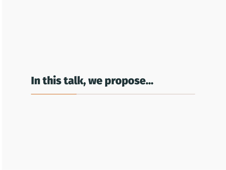In this talk, we propose...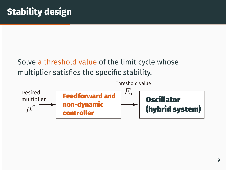### Solve a threshold value of the limit cycle whose multiplier satisfies the specific stability.

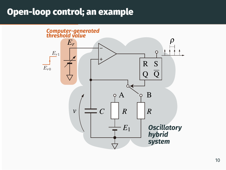### Open-loop control; an example

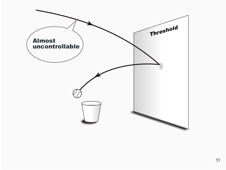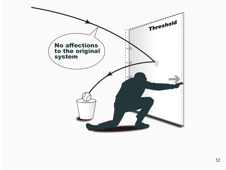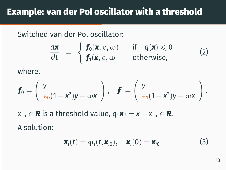Switched van der Pol oscillator:

$$
\frac{d\mathbf{x}}{dt} = \begin{cases} \mathbf{f}_0(\mathbf{x}, \epsilon, \omega) & \text{if } q(\mathbf{x}) \leq 0 \\ \mathbf{f}_1(\mathbf{x}, \epsilon, \omega) & \text{otherwise,} \end{cases}
$$
 (2)

where,

$$
\boldsymbol{f}_0 = \left(\begin{array}{c} y \\ \varepsilon_0(1-x^2)y - \omega x \end{array}\right), \quad \boldsymbol{f}_1 = \left(\begin{array}{c} y \\ \varepsilon_1(1-x^2)y - \omega x \end{array}\right).
$$

*x*<sub>th</sub> ∈ *R* is a threshold value,  $q(\mathbf{x}) = x - x$ <sub>th</sub> ∈ *R*. A solution:

$$
\mathbf{x}_i(t) = \varphi_i(t, \mathbf{x}_{i0}), \quad \mathbf{x}_i(0) = \mathbf{x}_{i0}.
$$
 (3)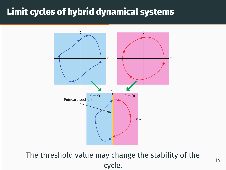### Limit cycles of hybrid dynamical systems



The threshold value may change the stability of the cycle.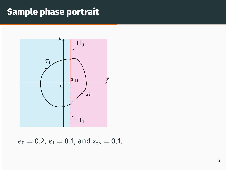## Sample phase portrait



$$
\epsilon_0 = 0.2
$$
,  $\epsilon_1 = 0.1$ , and  $x_{\text{th}} = 0.1$ .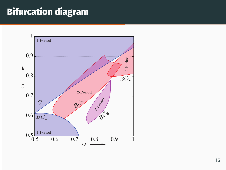### Bifurcation diagram

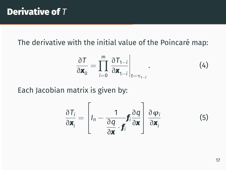The derivative with the initial value of the Poincaré map:

$$
\frac{\partial T}{\partial \mathbf{x}_0} = \prod_{i=0}^m \left. \frac{\partial T_{1-i}}{\partial \mathbf{x}_{1-i}} \right|_{t=\tau_{1-i}}.
$$
 (4)

Each Jacobian matrix is given by:

$$
\frac{\partial T_i}{\partial \mathbf{x}_i} = \left[ I_n - \frac{1}{\frac{\partial q}{\partial \mathbf{x}} \cdot \mathbf{f}_i} \frac{\partial q}{\partial \mathbf{x}} \right] \frac{\partial \varphi_i}{\partial \mathbf{x}_i}
$$
(5)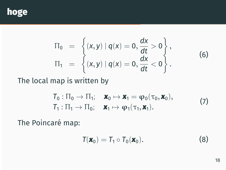

$$
\Pi_0 = \left\{ (x, y) \mid q(x) = 0, \frac{dx}{dt} > 0 \right\}, \n\Pi_1 = \left\{ (x, y) \mid q(x) = 0, \frac{dx}{dt} < 0 \right\}.
$$
\n(6)

The local map is written by

$$
T_0: \Pi_0 \to \Pi_1; \quad \mathbf{x}_0 \mapsto \mathbf{x}_1 = \varphi_0(\tau_0, \mathbf{x}_0), T_1: \Pi_1 \to \Pi_0; \quad \mathbf{x}_1 \mapsto \varphi_1(\tau_1, \mathbf{x}_1).
$$
 (7)

The Poincaré map:

$$
T(\mathbf{x}_0) = T_1 \circ T_0(\mathbf{x}_0).
$$
 (8)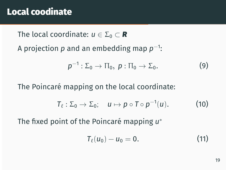### Local coodinate

The local coordinate:  $u \in \Sigma_0 \subset \mathbb{R}$ 

A projection *p* and an embedding map *p* −1 :

$$
p^{-1}:\Sigma_0\to\Pi_0,\ p:\Pi_0\to\Sigma_0.
$$
 (9)

The Poincaré mapping on the local coordinate:

$$
T_{\ell}:\Sigma_0\to\Sigma_0;\quad u\mapsto p\circ T\circ p^{-1}(u). \qquad\qquad(10)
$$

The fixed point of the Poincaré mapping *u ∗*

$$
T_{\ell}(u_0)-u_0=0.
$$
 (11)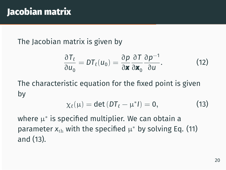# Jacobian matrix

The Jacobian matrix is given by

$$
\frac{\partial T_{\ell}}{\partial u_0} = DT_{\ell}(u_0) = \frac{\partial p}{\partial \mathbf{x}} \frac{\partial T}{\partial \mathbf{x}_0} \frac{\partial p^{-1}}{\partial u}.
$$
 (12)

The characteristic equation for the fixed point is given by

$$
\chi_{\ell}(\mu) = \det(DT_{\ell} - \mu^* I) = 0, \qquad (13)
$$

where  $\mu^*$  is specified multiplier. We can obtain a parameter  $x_{\rm th}$  with the specified  $\mu^*$  by solving Eq. (11) and (13).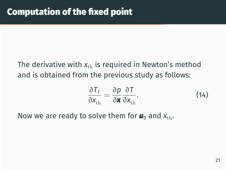### The derivative with  $x_{th}$  is required in Newton's method and is obtained from the previous study as follows:

$$
\frac{\partial T_{\ell}}{\partial x_{\text{th}}} = \frac{\partial p}{\partial \mathbf{x}} \frac{\partial T}{\partial x_{\text{th}}}.
$$
 (14)

Now we are ready to solve them for  $\mathbf{u}_0$  and  $\mathbf{x}_{\text{th}}$ .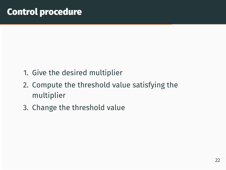- 1. Give the desired multiplier
- 2. Compute the threshold value satisfying the multiplier
- 3. Change the threshold value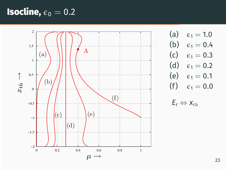### **Isocline,**  $\epsilon_0 = 0.2$



(a)  $\epsilon_1 = 1.0$ (b)  $\epsilon_1 = 0.4$ (c)  $\epsilon_1 = 0.3$ (d)  $\epsilon_1 = 0.2$ (e)  $\epsilon_1 = 0.1$ (f)  $\epsilon_1 = 0.0$ 

*E*<sup>*r*</sup>  $\Leftrightarrow$  *x*<sup>th</sup>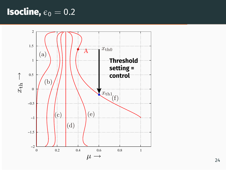## **Isocline,**  $\epsilon_0 = 0.2$

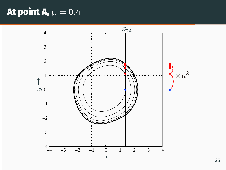### At point A,  $\mu = 0.4$

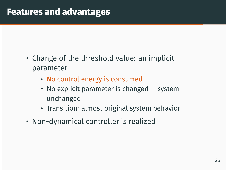### Features and advantages

- Change of the threshold value: an implicit parameter
	- No control energy is consumed
	- No explicit parameter is changed system unchanged
	- Transition: almost original system behavior
- Non-dynamical controller is realized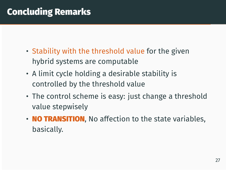### Concluding Remarks

- Stability with the threshold value for the given hybrid systems are computable
- A limit cycle holding a desirable stability is controlled by the threshold value
- The control scheme is easy: just change a threshold value stepwisely
- **NO TRANSITION**, No affection to the state variables, basically.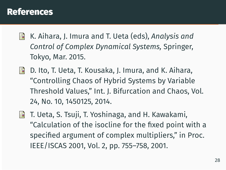#### References

- K. Aihara, J. Imura and T. Ueta (eds), *Analysis and* 記 *Control of Complex Dynamical Systems,* Springer, Tokyo, Mar. 2015.
- D. Ito, T. Ueta, T. Kousaka, J. Imura, and K. Aihara, F "Controlling Chaos of Hybrid Systems by Variable Threshold Values," Int. J. Bifurcation and Chaos, Vol. 24, No. 10, 1450125, 2014.
- F T. Ueta, S. Tsuji, T. Yoshinaga, and H. Kawakami, "Calculation of the isocline for the fixed point with a specified argument of complex multipliers," in Proc. IEEE/ISCAS 2001, Vol. 2, pp. 755–758, 2001.